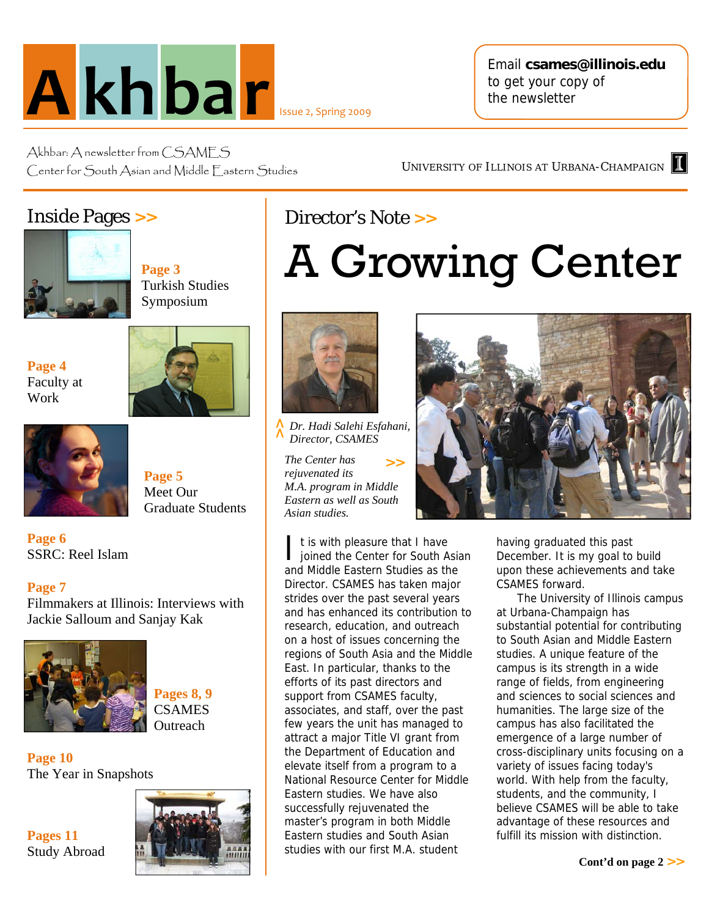

Email **csames@illinois.edu**  to get your copy of the newsletter

UNIVERSITY OF ILLINOIS AT URBANA-CHAMPAIGN

Akhbar: A newsletter from CSAMFS Center for South Asian and Middle Fastern Studies

#### Inside Pages **>>**



**Page 3** Turkish Studies Symposium

**Page 4** Faculty at Work



**Page 5** Meet Our Graduate Students

**Page 6**  SSRC: Reel Islam

**Page 7** 

Filmmakers at Illinois: Interviews with Jackie Salloum and Sanjay Kak



**Pages 8, 9 CSAMES Outreach** 

**Page 10**  The Year in Snapshots

**Pages 11**  Study Abroad



## Director's Note **>>**

# A Growing Center



*Dr. Hadi Salehi Esfahani, Director, CSAMES* 

*The Center has rejuvenated its M.A. program in Middle Eastern as well as South A Dr. Hadi Sale*<br>*A Director, CSA*<br>*The Center ha.*<br>*rejuvenated its*<br>*M.A. program*<br>*Eastern as wel*<br>*Asian studies.* **>>**

I t is with pleasure that I have<br>joined the Center for South Asian and Middle Eastern Studies as the Director. CSAMES has taken major strides over the past several years and has enhanced its contribution to research, education, and outreach on a host of issues concerning the regions of South Asia and the Middle East. In particular, thanks to the efforts of its past directors and support from CSAMES faculty, associates, and staff, over the past few years the unit has managed to attract a major Title VI grant from the Department of Education and elevate itself from a program to a National Resource Center for Middle Eastern studies. We have also successfully rejuvenated the master's program in both Middle Eastern studies and South Asian studies with our first M.A. student

having graduated this past December. It is my goal to build upon these achievements and take CSAMES forward.

The University of Illinois campus at Urbana-Champaign has substantial potential for contributing to South Asian and Middle Eastern studies. A unique feature of the campus is its strength in a wide range of fields, from engineering and sciences to social sciences and humanities. The large size of the campus has also facilitated the emergence of a large number of cross-disciplinary units focusing on a variety of issues facing today's world. With help from the faculty, students, and the community, I believe CSAMES will be able to take advantage of these resources and fulfill its mission with distinction.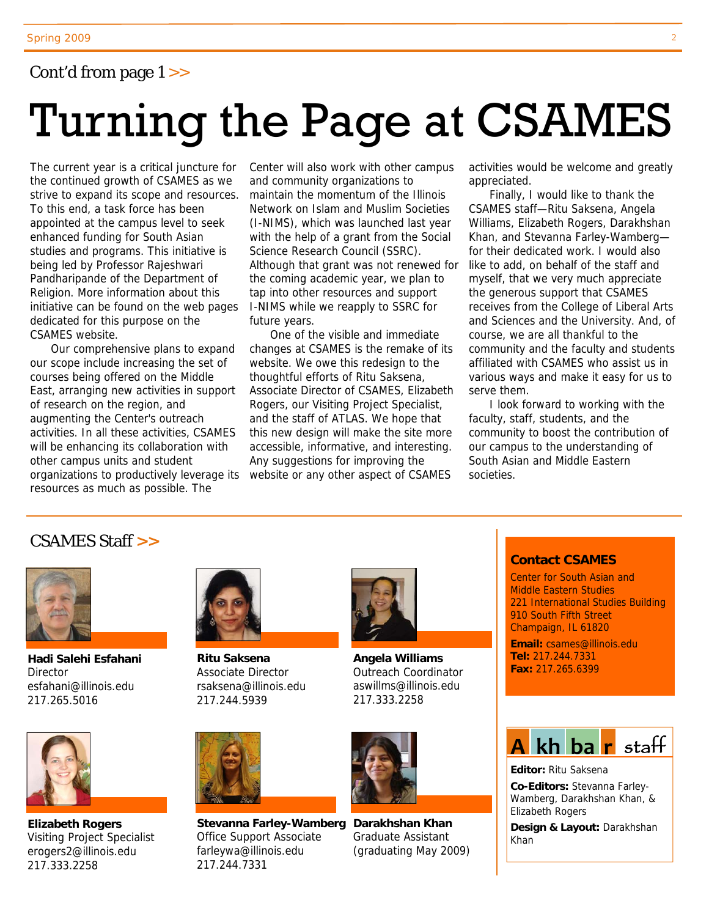#### Cont'd from page 1 >>

# Turning the Page at CSAMES

The current year is a critical juncture for the continued growth of CSAMES as we strive to expand its scope and resources. To this end, a task force has been appointed at the campus level to seek enhanced funding for South Asian studies and programs. This initiative is being led by Professor Rajeshwari Pandharipande of the Department of Religion. More information about this initiative can be found on the web pages dedicated for this purpose on the CSAMES website.

Our comprehensive plans to expand our scope include increasing the set of courses being offered on the Middle East, arranging new activities in support of research on the region, and augmenting the Center's outreach activities. In all these activities, CSAMES will be enhancing its collaboration with other campus units and student organizations to productively leverage its resources as much as possible. The

Center will also work with other campus and community organizations to maintain the momentum of the Illinois Network on Islam and Muslim Societies (I-NIMS), which was launched last year with the help of a grant from the Social Science Research Council (SSRC). Although that grant was not renewed for the coming academic year, we plan to tap into other resources and support I-NIMS while we reapply to SSRC for future years.

One of the visible and immediate changes at CSAMES is the remake of its website. We owe this redesign to the thoughtful efforts of Ritu Saksena, Associate Director of CSAMES, Elizabeth Rogers, our Visiting Project Specialist, and the staff of ATLAS. We hope that this new design will make the site more accessible, informative, and interesting. Any suggestions for improving the website or any other aspect of CSAMES

activities would be welcome and greatly appreciated.

Finally, I would like to thank the CSAMES staff—Ritu Saksena, Angela Williams, Elizabeth Rogers, Darakhshan Khan, and Stevanna Farley-Wamberg for their dedicated work. I would also like to add, on behalf of the staff and myself, that we very much appreciate the generous support that CSAMES receives from the College of Liberal Arts and Sciences and the University. And, of course, we are all thankful to the community and the faculty and students affiliated with CSAMES who assist us in various ways and make it easy for us to serve them.

I look forward to working with the faculty, staff, students, and the community to boost the contribution of our campus to the understanding of South Asian and Middle Eastern societies.

#### CSAMES Staff **>>**



**Hadi Salehi Esfahani Director** esfahani@illinois.edu 217.265.5016



**Elizabeth Rogers**  Visiting Project Specialist erogers2@illinois.edu 217.333.2258



**Ritu Saksena**  Associate Director rsaksena@illinois.edu 217.244.5939



Stevanna Farley-Wamberg Darakhshan Khan Office Support Associate farleywa@illinois.edu 217.244.7331



**Angela Williams**  Outreach Coordinator aswillms@illinois.edu 217.333.2258



Graduate Assistant (graduating May 2009)

#### **Contact CSAMES**

Center for South Asian and Middle Eastern Studies 221 International Studies Building 910 South Fifth Street Champaign, IL 61820

**Email:** csames@illinois.edu **Tel:** 217.244.7331 **Fax:** 217.265.6399



**Editor:** Ritu Saksena **Co-Editors:** Stevanna Farley-

Wamberg, Darakhshan Khan, & Elizabeth Rogers

**Design & Layout:** Darakhshan Khan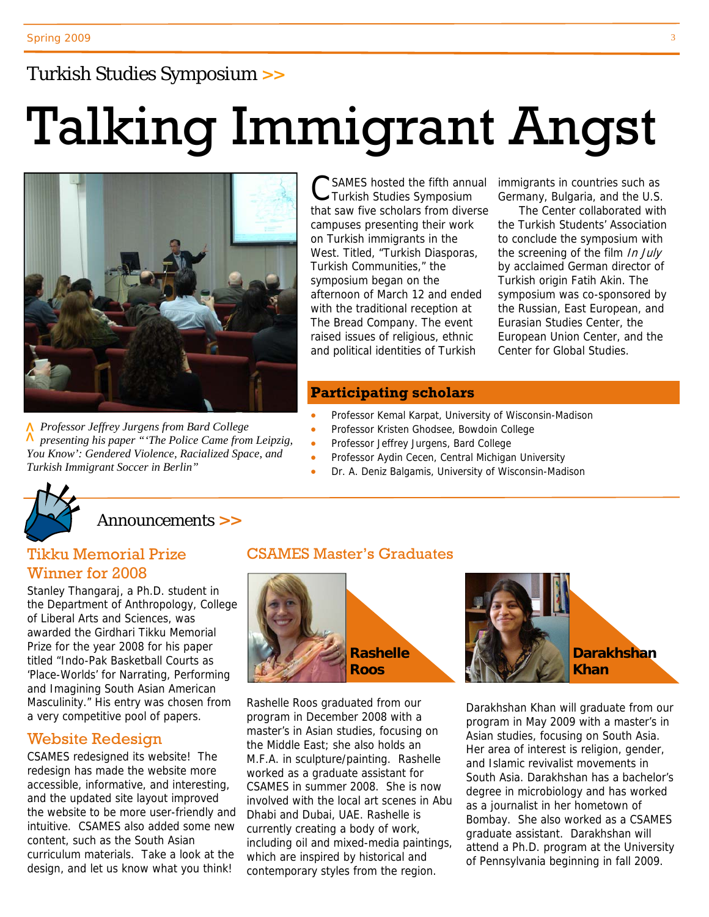#### Turkish Studies Symposium **>>**

# Talking Immigrant Angst



*Professor Jeffrey Jurgens from Bard College R* Professor Jeffrey Jurgens from Bara College<br> *A* presenting his paper "'The Police Came from Leipzig,<br>
You Know': Gendered Violence, Racialized Space, and<br>Turkish Immigrant Soccer in Berlin" *You Know': Gendered Violence, Racialized Space, and* 

SAMES hosted the fifth annual Turkish Studies Symposium that saw five scholars from diverse campuses presenting their work on Turkish immigrants in the West. Titled, "Turkish Diasporas, Turkish Communities," the symposium began on the afternoon of March 12 and ended with the traditional reception at The Bread Company. The event raised issues of religious, ethnic and political identities of Turkish

immigrants in countries such as Germany, Bulgaria, and the U.S.

The Center collaborated with the Turkish Students' Association to conclude the symposium with the screening of the film In July by acclaimed German director of Turkish origin Fatih Akin. The symposium was co-sponsored by the Russian, East European, and Eurasian Studies Center, the European Union Center, and the Center for Global Studies.

#### **Participating scholars**

- Professor Kemal Karpat, University of Wisconsin-Madison
- Professor Kristen Ghodsee, Bowdoin College
- Professor Jeffrey Jurgens, Bard College
- Professor Aydin Cecen, Central Michigan University
- Dr. A. Deniz Balgamis, University of Wisconsin-Madison



#### Announcements **>>**

#### Tikku Memorial Prize Winner for 2008

Stanley Thangaraj, a Ph.D. student in the Department of Anthropology, College of Liberal Arts and Sciences, was awarded the Girdhari Tikku Memorial Prize for the year 2008 for his paper titled "Indo-Pak Basketball Courts as 'Place-Worlds' for Narrating, Performing and Imagining South Asian American Masculinity." His entry was chosen from a very competitive pool of papers.

#### Website Redesign

CSAMES redesigned its website! The redesign has made the website more accessible, informative, and interesting, and the updated site layout improved the website to be more user-friendly and intuitive. CSAMES also added some new content, such as the South Asian curriculum materials. Take a look at the design, and let us know what you think!

#### CSAMES Master's Graduates



Rashelle Roos graduated from our program in December 2008 with a master's in Asian studies, focusing on the Middle East; she also holds an M.F.A. in sculpture/painting. Rashelle worked as a graduate assistant for CSAMES in summer 2008. She is now involved with the local art scenes in Abu Dhabi and Dubai, UAE. Rashelle is currently creating a body of work, including oil and mixed-media paintings, which are inspired by historical and contemporary styles from the region.

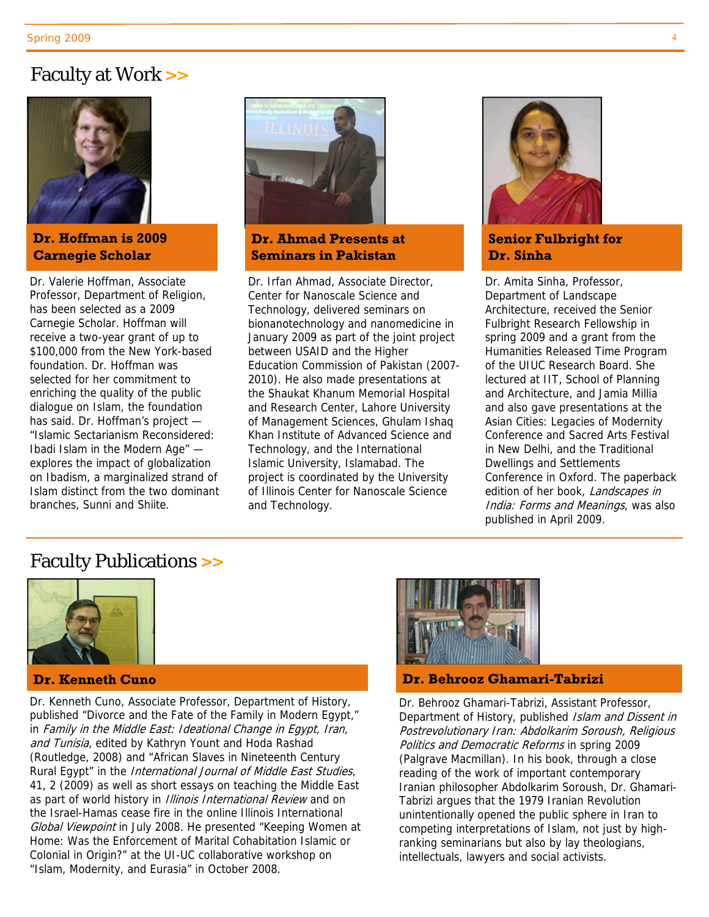#### Faculty at Work **>>**



#### **Dr. Hoffman is 2009 Carnegie Scholar**

Dr. Valerie Hoffman, Associate Professor, Department of Religion, has been selected as a 2009 Carnegie Scholar. Hoffman will receive a two-year grant of up to \$100,000 from the New York-based foundation. Dr. Hoffman was selected for her commitment to enriching the quality of the public dialogue on Islam, the foundation has said. Dr. Hoffman's project — "Islamic Sectarianism Reconsidered: Ibadi Islam in the Modern Age" explores the impact of globalization on Ibadism, a marginalized strand of Islam distinct from the two dominant branches, Sunni and Shiite.



#### **Dr. Ahmad Presents at Seminars in Pakistan**

Dr. Irfan Ahmad, Associate Director, Center for Nanoscale Science and Technology, delivered seminars on bionanotechnology and nanomedicine in January 2009 as part of the joint project between USAID and the Higher Education Commission of Pakistan (2007- 2010). He also made presentations at the Shaukat Khanum Memorial Hospital and Research Center, Lahore University of Management Sciences, Ghulam Ishaq Khan Institute of Advanced Science and Technology, and the International Islamic University, Islamabad. The project is coordinated by the University of Illinois Center for Nanoscale Science and Technology.



#### **Senior Fulbright for Dr. Sinha**

Dr. Amita Sinha, Professor, Department of Landscape Architecture, received the Senior Fulbright Research Fellowship in spring 2009 and a grant from the Humanities Released Time Program of the UIUC Research Board. She lectured at IIT, School of Planning and Architecture, and Jamia Millia and also gave presentations at the Asian Cities: Legacies of Modernity Conference and Sacred Arts Festival in New Delhi, and the Traditional Dwellings and Settlements Conference in Oxford. The paperback edition of her book, Landscapes in India: Forms and Meanings, was also published in April 2009.

#### Faculty Publications **>>**



#### **Dr. Kenneth Cuno**

Dr. Kenneth Cuno, Associate Professor, Department of History, published "Divorce and the Fate of the Family in Modern Egypt," in Family in the Middle East: Ideational Change in Egypt, Iran, and Tunisia, edited by Kathryn Yount and Hoda Rashad (Routledge, 2008) and "African Slaves in Nineteenth Century Rural Egypt" in the *International Journal of Middle East Studies*, 41, 2 (2009) as well as short essays on teaching the Middle East as part of world history in *Illinois International Review* and on the Israel-Hamas cease fire in the online Illinois International Global Viewpoint in July 2008. He presented "Keeping Women at Home: Was the Enforcement of Marital Cohabitation Islamic or Colonial in Origin?" at the UI-UC collaborative workshop on "Islam, Modernity, and Eurasia" in October 2008.



#### **Dr. Behrooz Ghamari-Tabrizi**

Dr. Behrooz Ghamari-Tabrizi, Assistant Professor, Department of History, published Islam and Dissent in Postrevolutionary Iran: Abdolkarim Soroush, Religious Politics and Democratic Reforms in spring 2009 (Palgrave Macmillan). In his book, through a close reading of the work of important contemporary Iranian philosopher Abdolkarim Soroush, Dr. Ghamari-Tabrizi argues that the 1979 Iranian Revolution unintentionally opened the public sphere in Iran to competing interpretations of Islam, not just by highranking seminarians but also by lay theologians, intellectuals, lawyers and social activists.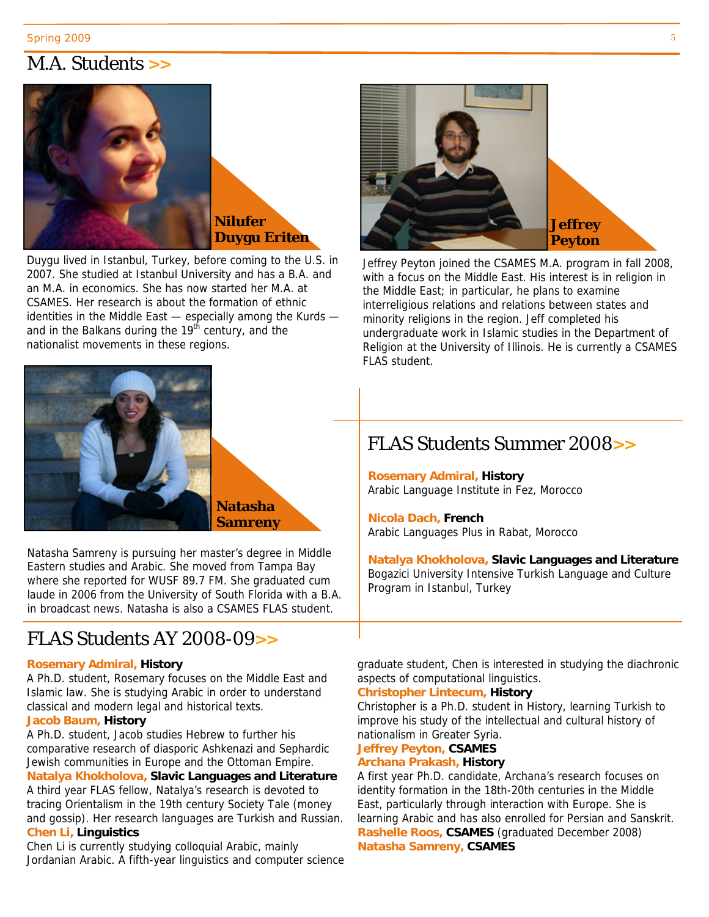#### M.A. Students **>>**



Duygu lived in Istanbul, Turkey, before coming to the U.S. in 2007. She studied at Istanbul University and has a B.A. and an M.A. in economics. She has now started her M.A. at CSAMES. Her research is about the formation of ethnic identities in the Middle East — especially among the Kurds and in the Balkans during the 19<sup>th</sup> century, and the nationalist movements in these regions.



Jeffrey Peyton joined the CSAMES M.A. program in fall 2008, with a focus on the Middle East. His interest is in religion in the Middle East; in particular, he plans to examine interreligious relations and relations between states and minority religions in the region. Jeff completed his undergraduate work in Islamic studies in the Department of Religion at the University of Illinois. He is currently a CSAMES FLAS student.



Natasha Samreny is pursuing her master's degree in Middle Eastern studies and Arabic. She moved from Tampa Bay where she reported for WUSF 89.7 FM. She graduated cum laude in 2006 from the University of South Florida with a B.A. in broadcast news. Natasha is also a CSAMES FLAS student.

#### FLAS Students AY 2008-09**>>**

#### **Rosemary Admiral, History**

A Ph.D. student, Rosemary focuses on the Middle East and Islamic law. She is studying Arabic in order to understand classical and modern legal and historical texts.

#### **Jacob Baum, History**

A Ph.D. student, Jacob studies Hebrew to further his comparative research of diasporic Ashkenazi and Sephardic Jewish communities in Europe and the Ottoman Empire. **Natalya Khokholova, Slavic Languages and Literature** A third year FLAS fellow, Natalya's research is devoted to tracing Orientalism in the 19th century Society Tale (money and gossip). Her research languages are Turkish and Russian. **Chen Li, Linguistics**

Chen Li is currently studying colloquial Arabic, mainly Jordanian Arabic. A fifth-year linguistics and computer science

#### FLAS Students Summer 2008**>>**

**Rosemary Admiral, History** Arabic Language Institute in Fez, Morocco

**Nicola Dach, French** Arabic Languages Plus in Rabat, Morocco

**Natalya Khokholova, Slavic Languages and Literature** Bogazici University Intensive Turkish Language and Culture Program in Istanbul, Turkey

graduate student, Chen is interested in studying the diachronic aspects of computational linguistics.

#### **Christopher Lintecum, History**

Christopher is a Ph.D. student in History, learning Turkish to improve his study of the intellectual and cultural history of nationalism in Greater Syria.

#### **Jeffrey Peyton, CSAMES Archana Prakash, History**

A first year Ph.D. candidate, Archana's research focuses on identity formation in the 18th-20th centuries in the Middle East, particularly through interaction with Europe. She is learning Arabic and has also enrolled for Persian and Sanskrit. **Rashelle Roos, CSAMES** (graduated December 2008) **Natasha Samreny, CSAMES**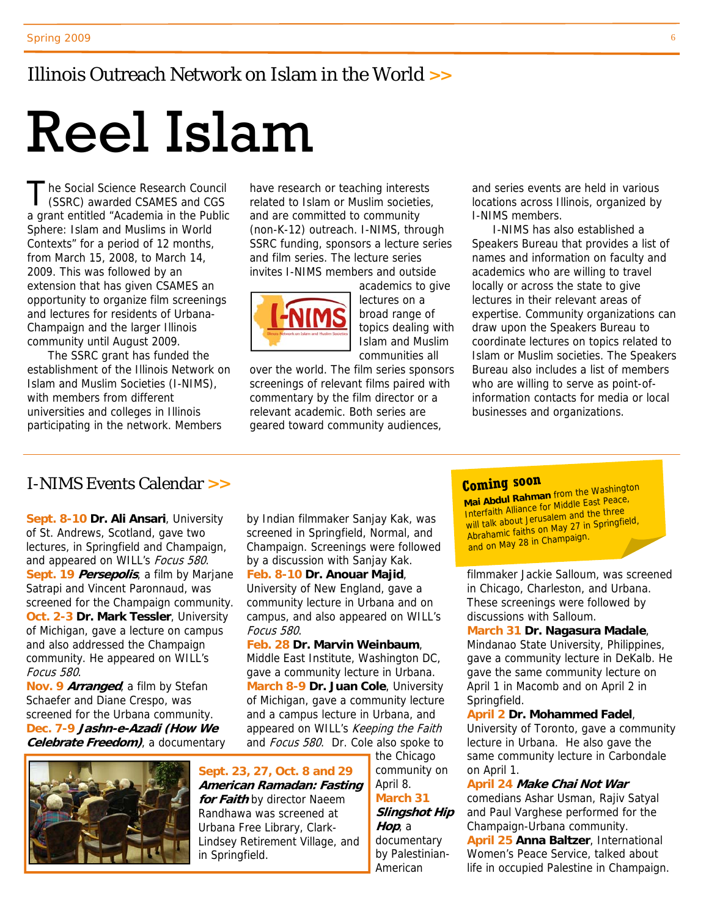#### Illinois Outreach Network on Islam in the World **>>**

# Reel Islam

The Social Science Research Council<br>
(SSRC) awarded CSAMES and CGS a grant entitled "Academia in the Public Sphere: Islam and Muslims in World Contexts" for a period of 12 months, from March 15, 2008, to March 14, 2009. This was followed by an extension that has given CSAMES an opportunity to organize film screenings and lectures for residents of Urbana-Champaign and the larger Illinois community until August 2009.

The SSRC grant has funded the establishment of the Illinois Network on Islam and Muslim Societies (I-NIMS), with members from different universities and colleges in Illinois participating in the network. Members

have research or teaching interests related to Islam or Muslim societies, and are committed to community (non-K-12) outreach. I-NIMS, through SSRC funding, sponsors a lecture series and film series. The lecture series invites I-NIMS members and outside



academics to give lectures on a broad range of topics dealing with Islam and Muslim communities all

over the world. The film series sponsors screenings of relevant films paired with commentary by the film director or a relevant academic. Both series are geared toward community audiences,

and series events are held in various locations across Illinois, organized by I-NIMS members.

I-NIMS has also established a Speakers Bureau that provides a list of names and information on faculty and academics who are willing to travel locally or across the state to give lectures in their relevant areas of expertise. Community organizations can draw upon the Speakers Bureau to coordinate lectures on topics related to Islam or Muslim societies. The Speakers Bureau also includes a list of members who are willing to serve as point-ofinformation contacts for media or local businesses and organizations.

#### I-NIMS Events Calendar **>>**

**Sept. 8-10 Dr. Ali Ansari**, University of St. Andrews, Scotland, gave two lectures, in Springfield and Champaign, and appeared on WILL's Focus 580. **Sept. 19 Persepolis**, a film by Marjane Satrapi and Vincent Paronnaud, was screened for the Champaign community. **Oct. 2-3 Dr. Mark Tessler**, University of Michigan, gave a lecture on campus and also addressed the Champaign community. He appeared on WILL's Focus 580.

**Nov. 9 Arranged**, a film by Stefan Schaefer and Diane Crespo, was screened for the Urbana community. **Dec. 7-9 Jashn-e-Azadi (How We Celebrate Freedom)**, a documentary



by Indian filmmaker Sanjay Kak, was screened in Springfield, Normal, and Champaign. Screenings were followed by a discussion with Sanjay Kak.

**Feb. 8-10 Dr. Anouar Majid**, University of New England, gave a community lecture in Urbana and on campus, and also appeared on WILL's Focus 580.

#### **Feb. 28 Dr. Marvin Weinbaum**, Middle East Institute, Washington DC, gave a community lecture in Urbana. **March 8-9 Dr. Juan Cole**, University of Michigan, gave a community lecture and a campus lecture in Urbana, and appeared on WILL's Keeping the Faith and Focus 580. Dr. Cole also spoke to

**Sept. 23, 27, Oct. 8 and 29 American Ramadan: Fasting for Faith** by director Naeem Randhawa was screened at Urbana Free Library, Clark-Lindsey Retirement Village, and in Springfield.

the Chicago community on April 8. **March 31 Slingshot Hip Hop**, a documentary by Palestinian-American

#### **Coming soon**

**Mai Abdul Rahman** from the Washington Interfaith Alliance for Middle East Peace, will talk about Jerusalem and the three Abrahamic faiths on May <sup>27</sup> in Springfield, and on May <sup>28</sup> in Champaign.

filmmaker Jackie Salloum, was screened in Chicago, Charleston, and Urbana. These screenings were followed by discussions with Salloum.

**March 31 Dr. Nagasura Madale**, Mindanao State University, Philippines, gave a community lecture in DeKalb. He gave the same community lecture on April 1 in Macomb and on April 2 in Springfield.

#### **April 2 Dr. Mohammed Fadel**,

University of Toronto, gave a community lecture in Urbana. He also gave the same community lecture in Carbondale on April 1.

**April 24 Make Chai Not War**  comedians Ashar Usman, Rajiv Satyal and Paul Varghese performed for the Champaign-Urbana community.

**April 25 Anna Baltzer**, International Women's Peace Service, talked about life in occupied Palestine in Champaign.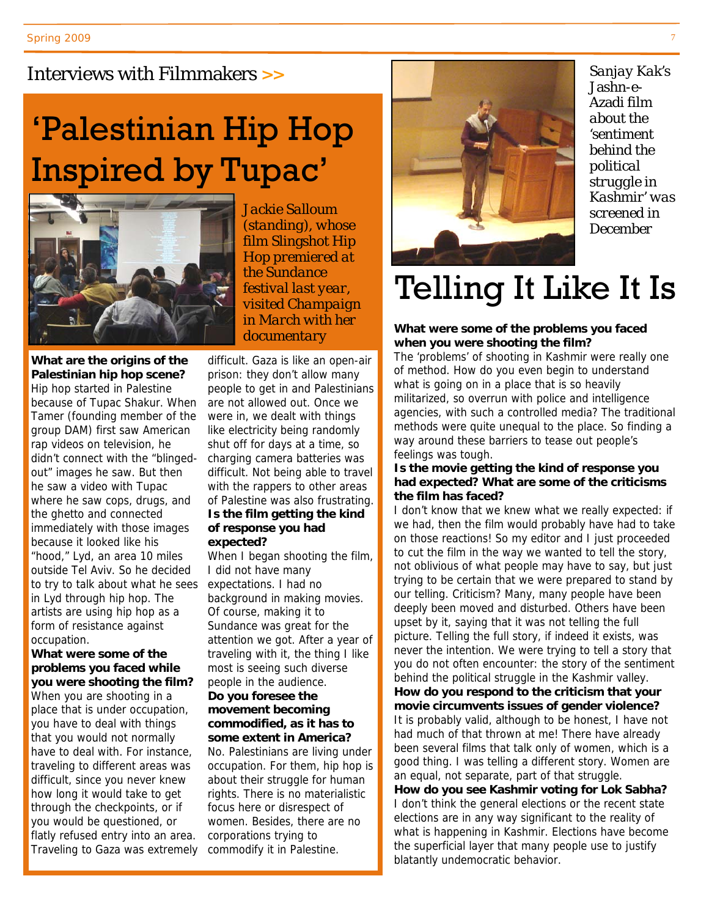#### Interviews with Filmmakers **>>**

# 'Palestinian Hip Hop Inspired by Tupac'



*Jackie Salloum (standing), whose film* Slingshot Hip Hop *premiered at the Sundance festival last year, visited Champaign in March with her documentary* 

**What are the origins of the Palestinian hip hop scene?**  Hip hop started in Palestine because of Tupac Shakur. When Tamer (founding member of the group DAM) first saw American rap videos on television, he didn't connect with the "blingedout" images he saw. But then he saw a video with Tupac where he saw cops, drugs, and the ghetto and connected immediately with those images because it looked like his "hood," Lyd, an area 10 miles outside Tel Aviv. So he decided to try to talk about what he sees in Lyd through hip hop. The artists are using hip hop as a form of resistance against occupation.

**What were some of the problems you faced while you were shooting the film?**  When you are shooting in a place that is under occupation, you have to deal with things that you would not normally have to deal with. For instance, traveling to different areas was difficult, since you never knew how long it would take to get through the checkpoints, or if you would be questioned, or flatly refused entry into an area. Traveling to Gaza was extremely commodify it in Palestine.

difficult. Gaza is like an open-air prison: they don't allow many people to get in and Palestinians are not allowed out. Once we were in, we dealt with things like electricity being randomly shut off for days at a time, so charging camera batteries was difficult. Not being able to travel with the rappers to other areas of Palestine was also frustrating. **Is the film getting the kind of response you had** 

#### **expected?**

When I began shooting the film, I did not have many expectations. I had no background in making movies. Of course, making it to Sundance was great for the attention we got. After a year of traveling with it, the thing I like most is seeing such diverse people in the audience. **Do you foresee the movement becoming commodified, as it has to** 

## **some extent in America?**

No. Palestinians are living under occupation. For them, hip hop is about their struggle for human rights. There is no materialistic focus here or disrespect of women. Besides, there are no corporations trying to



*Sanjay Kak's*  Jashn-e-Azadi *film about the 'sentiment behind the political struggle in Kashmir' was screened in December* 

# Telling It Like It Is

#### **What were some of the problems you faced when you were shooting the film?**

The 'problems' of shooting in Kashmir were really one of method. How do you even begin to understand what is going on in a place that is so heavily militarized, so overrun with police and intelligence agencies, with such a controlled media? The traditional methods were quite unequal to the place. So finding a way around these barriers to tease out people's feelings was tough.

#### **Is the movie getting the kind of response you had expected? What are some of the criticisms the film has faced?**

I don't know that we knew what we really expected: if we had, then the film would probably have had to take on those reactions! So my editor and I just proceeded to cut the film in the way we wanted to tell the story, not oblivious of what people may have to say, but just trying to be certain that we were prepared to stand by our telling. Criticism? Many, many people have been deeply been moved and disturbed. Others have been upset by it, saying that it was not telling the full picture. Telling the full story, if indeed it exists, was never the intention. We were trying to tell a story that you do not often encounter: the story of the sentiment behind the political struggle in the Kashmir valley. **How do you respond to the criticism that your movie circumvents issues of gender violence?**  It is probably valid, although to be honest, I have not had much of that thrown at me! There have already been several films that talk only of women, which is a good thing. I was telling a different story. Women are

an equal, not separate, part of that struggle. **How do you see Kashmir voting for Lok Sabha?** I don't think the general elections or the recent state elections are in any way significant to the reality of what is happening in Kashmir. Elections have become the superficial layer that many people use to justify blatantly undemocratic behavior.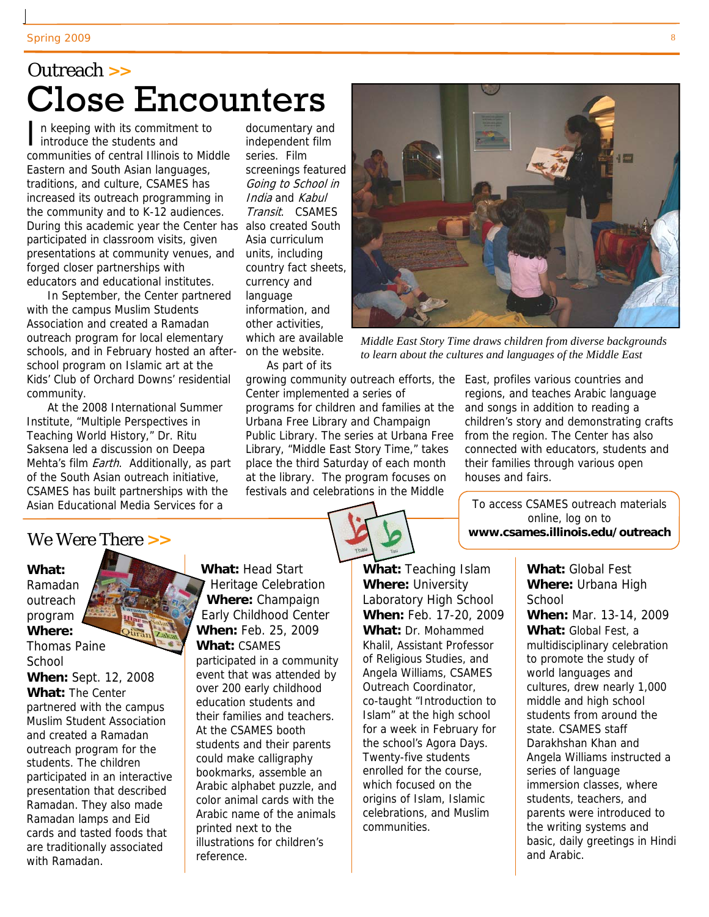## Outreach **>>** Close Encounters

In keeping with its commitment to<br>introduce the students and communities of central Illinois to Middle Eastern and South Asian languages, traditions, and culture, CSAMES has increased its outreach programming in the community and to K-12 audiences. During this academic year the Center has also created South participated in classroom visits, given presentations at community venues, and forged closer partnerships with educators and educational institutes.

In September, the Center partnered with the campus Muslim Students Association and created a Ramadan outreach program for local elementary schools, and in February hosted an afterschool program on Islamic art at the Kids' Club of Orchard Downs' residential community.

At the 2008 International Summer Institute, "Multiple Perspectives in Teaching World History," Dr. Ritu Saksena led a discussion on Deepa Mehta's film *Earth*. Additionally, as part of the South Asian outreach initiative, CSAMES has built partnerships with the Asian Educational Media Services for a

documentary and independent film series. Film screenings featured Going to School in India and Kabul Transit. CSAMES Asia curriculum units, including country fact sheets, currency and language information, and other activities, which are available on the website.

As part of its

growing community outreach efforts, the East, profiles various countries and Center implemented a series of programs for children and families at the Urbana Free Library and Champaign Public Library. The series at Urbana Free Library, "Middle East Story Time," takes place the third Saturday of each month at the library. The program focuses on festivals and celebrations in the Middle



*Middle East Story Time draws children from diverse backgrounds to learn about the cultures and languages of the Middle East* 

regions, and teaches Arabic language and songs in addition to reading a children's story and demonstrating crafts from the region. The Center has also connected with educators, students and their families through various open houses and fairs.

To access CSAMES outreach materials online, log on to **www.csames.illinois.edu/outreach**

#### We Were There **>>**

#### **What:**

Ramadan outreach program **Where:** Thomas Paine School **When:** Sept. 12, 2008

**What:** The Center partnered with the campus Muslim Student Association and created a Ramadan outreach program for the students. The children participated in an interactive presentation that described Ramadan. They also made Ramadan lamps and Eid cards and tasted foods that are traditionally associated with Ramadan.

**What:** Head Start Heritage Celebration **Where:** Champaign Early Childhood Center **When:** Feb. 25, 2009 **What:** CSAMES participated in a community event that was attended by over 200 early childhood education students and their families and teachers. At the CSAMES booth students and their parents could make calligraphy bookmarks, assemble an Arabic alphabet puzzle, and color animal cards with the Arabic name of the animals printed next to the illustrations for children's reference.

**What:** Teaching Islam **Where:** University Laboratory High School **When:** Feb. 17-20, 2009 **What:** Dr. Mohammed Khalil, Assistant Professor of Religious Studies, and Angela Williams, CSAMES Outreach Coordinator, co-taught "Introduction to Islam" at the high school for a week in February for the school's Agora Days. Twenty-five students enrolled for the course, which focused on the origins of Islam, Islamic celebrations, and Muslim communities.

**What:** Global Fest **Where:** Urbana High **School When:** Mar. 13-14, 2009 **What:** Global Fest, a multidisciplinary celebration to promote the study of world languages and cultures, drew nearly 1,000 middle and high school students from around the state. CSAMES staff Darakhshan Khan and Angela Williams instructed a series of language immersion classes, where students, teachers, and parents were introduced to the writing systems and basic, daily greetings in Hindi and Arabic.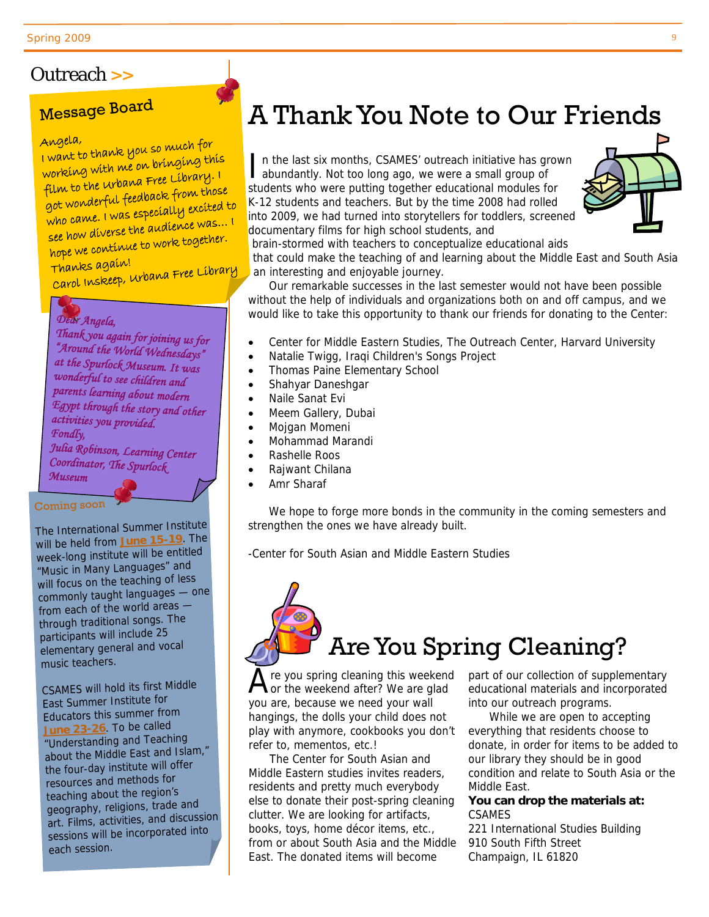#### Outreach **>>**

# **Message Board**

Angela, I want to thank you so much for working with me on bringing this film to the Urbana Free Library. I got wonderful feedback from those who came. I was especially excited to see how diverse the audience was… <sup>I</sup> hope we continue to work together.

Thanks again! Carol Inskeep, Urbana Free Library

#### *Dear Angela,*

U.

*Thank you again for joining us for "Around the World Wednesdays" at the Spurlock Museum. It was wonderful to see children and parents learning about modern Egypt through the story and other activities you provided. Fondly, Julia Robinson, Learning Center Coordinator, The Spurlock Museum* 

#### Coming soon

The International Summer Institute will be held from **June 15-19**. The week-long institute will be entitled "Music in Many Languages" and will focus on the teaching of less commonly taught languages — one from each of the world areas through traditional songs. The participants will include <sup>25</sup> elementary general and vocal music teachers.

CSAMES will hold its first Middle East Summer Institute for Educators this summer from **June 23-26**. To be called "Understanding and Teaching about the Middle East and Islam," the four-day institute will offer resources and methods for teaching about the region's geography, religions, trade and art. Films, activities, and discussion sessions will be incorporated into each session.

# A Thank You Note to Our Friends

n the last six months, CSAMES' outreach initiative has grown abundantly. Not too long ago, we were a small group of students who were putting together educational modules for K-12 students and teachers. But by the time 2008 had rolled into 2009, we had turned into storytellers for toddlers, screened documentary films for high school students, and



brain-stormed with teachers to conceptualize educational aids that could make the teaching of and learning about the Middle East and South Asia an interesting and enjoyable journey.

Our remarkable successes in the last semester would not have been possible without the help of individuals and organizations both on and off campus, and we would like to take this opportunity to thank our friends for donating to the Center:

- Center for Middle Eastern Studies, The Outreach Center, Harvard University
- Natalie Twigg, Iraqi Children's Songs Project
- Thomas Paine Elementary School
- Shahyar Daneshgar
- Naile Sanat Evi
- Meem Gallery, Dubai
- Mojgan Momeni
- Mohammad Marandi
- Rashelle Roos
- Rajwant Chilana
- Amr Sharaf

We hope to forge more bonds in the community in the coming semesters and strengthen the ones we have already built.

-Center for South Asian and Middle Eastern Studies

# Are You Spring Cleaning?

 $\overline{A}$  re you spring cleaning this weekend<br>or the weekend after? We are glad you are, because we need your wall hangings, the dolls your child does not play with anymore, cookbooks you don't refer to, mementos, etc.!

The Center for South Asian and Middle Eastern studies invites readers, residents and pretty much everybody else to donate their post-spring cleaning clutter. We are looking for artifacts, books, toys, home décor items, etc., from or about South Asia and the Middle East. The donated items will become

part of our collection of supplementary educational materials and incorporated into our outreach programs.

While we are open to accepting everything that residents choose to donate, in order for items to be added to our library they should be in good condition and relate to South Asia or the Middle East.

#### **You can drop the materials at:**  CSAMES

221 International Studies Building 910 South Fifth Street Champaign, IL 61820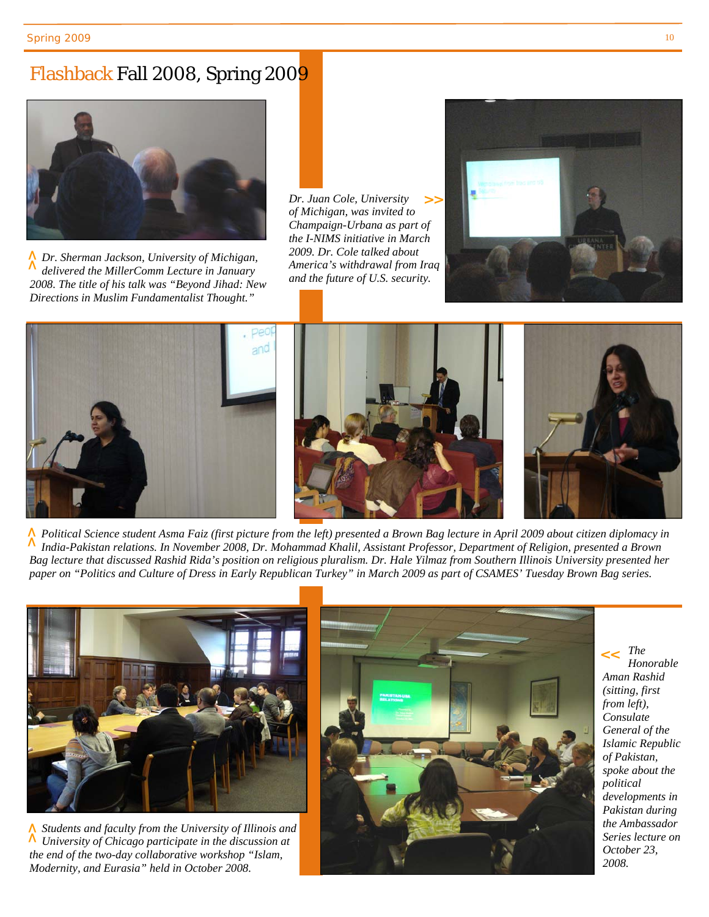#### Flashback Fall 2008, Spring 2009



*Dr. Sherman Jackson, University of Michigan,*  **>>** *delivered the MillerComm Lecture in January 2008. The title of his talk was "Beyond Jihad: New Directions in Muslim Fundamentalist Thought."* 

*Dr. Juan Cole, University of Michigan, was invited to Champaign-Urbana as part of the I-NIMS initiative in March 2009. Dr. Cole talked about America's withdrawal from Iraq and the future of U.S. security.*  **>>**





*Political Science student Asma Faiz (first picture from the left) presented a Brown Bag lecture in April 2009 about citizen diplomacy in*  **>>** *India-Pakistan relations. In November 2008, Dr. Mohammad Khalil, Assistant Professor, Department of Religion, presented a Brown Bag lecture that discussed Rashid Rida's position on religious pluralism. Dr. Hale Yilmaz from Southern Illinois University presented her paper on "Politics and Culture of Dress in Early Republican Turkey" in March 2009 as part of CSAMES' Tuesday Brown Bag series.* 



*Students and faculty from the University of Illinois and N* Students and faculty from the University of Illinois and  $\land$  University of Chicago participate in the discussion at the end of the two-day collaborative workshop "Islam, Modernity, and Eurasia" held in October 2008. *the end of the two-day collaborative workshop "Islam,* 



*The*  **>>** *Honorable Aman Rashid (sitting, first from left), Consulate General of the Islamic Republic of Pakistan, spoke about the political developments in Pakistan during the Ambassador Series lecture on October 23, 2008.*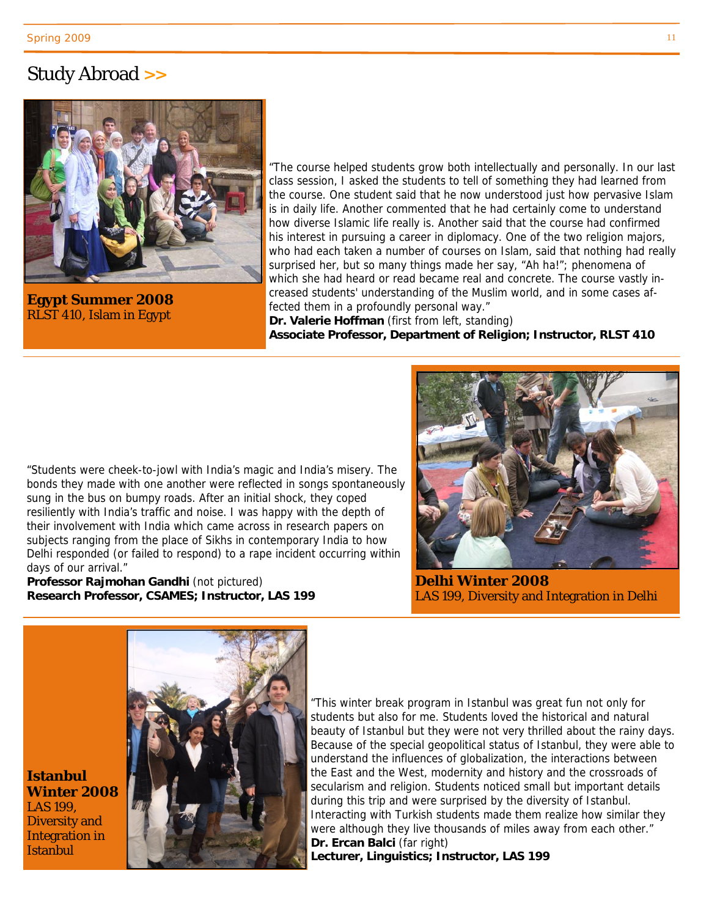#### Study Abroad **>>**



**Egypt Summer 2008**  RLST 410, Islam in Egypt

**Istanbul** 

LAS 199,

**Istanbul** 

"The course helped students grow both intellectually and personally. In our last class session, I asked the students to tell of something they had learned from the course. One student said that he now understood just how pervasive Islam is in daily life. Another commented that he had certainly come to understand how diverse Islamic life really is. Another said that the course had confirmed his interest in pursuing a career in diplomacy. One of the two religion majors, who had each taken a number of courses on Islam, said that nothing had really surprised her, but so many things made her say, "Ah ha!"; phenomena of which she had heard or read became real and concrete. The course vastly increased students' understanding of the Muslim world, and in some cases affected them in a profoundly personal way."

**Dr. Valerie Hoffman** (first from left, standing) **Associate Professor, Department of Religion; Instructor, RLST 410**

"Students were cheek-to-jowl with India's magic and India's misery. The bonds they made with one another were reflected in songs spontaneously sung in the bus on bumpy roads. After an initial shock, they coped resiliently with India's traffic and noise. I was happy with the depth of their involvement with India which came across in research papers on subjects ranging from the place of Sikhs in contemporary India to how Delhi responded (or failed to respond) to a rape incident occurring within days of our arrival."

**Professor Rajmohan Gandhi** (not pictured) **Research Professor, CSAMES; Instructor, LAS 199** 



**Delhi Winter 2008**  LAS 199, Diversity and Integration in Delhi



"This winter break program in Istanbul was great fun not only for students but also for me. Students loved the historical and natural beauty of Istanbul but they were not very thrilled about the rainy days. Because of the special geopolitical status of Istanbul, they were able to understand the influences of globalization, the interactions between the East and the West, modernity and history and the crossroads of secularism and religion. Students noticed small but important details during this trip and were surprised by the diversity of Istanbul. Interacting with Turkish students made them realize how similar they were although they live thousands of miles away from each other." **Dr. Ercan Balci** (far right) **Lecturer, Linguistics; Instructor, LAS 199**